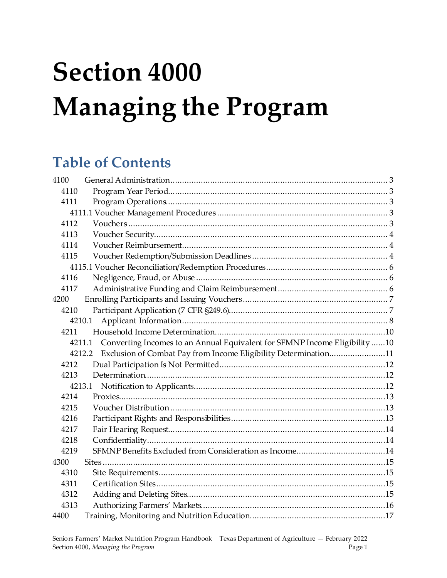# **Section 4000 Managing the Program**

## **Table of Contents**

| 4100 |                                                                                      |  |
|------|--------------------------------------------------------------------------------------|--|
| 4110 |                                                                                      |  |
| 4111 |                                                                                      |  |
|      |                                                                                      |  |
| 4112 |                                                                                      |  |
| 4113 |                                                                                      |  |
| 4114 |                                                                                      |  |
| 4115 |                                                                                      |  |
|      |                                                                                      |  |
| 4116 |                                                                                      |  |
| 4117 |                                                                                      |  |
| 4200 |                                                                                      |  |
| 4210 |                                                                                      |  |
|      | 4210.1                                                                               |  |
| 4211 |                                                                                      |  |
|      | Converting Incomes to an Annual Equivalent for SFMNP Income Eligibility 10<br>4211.1 |  |
|      | Exclusion of Combat Pay from Income Eligibility Determination11<br>4212.2            |  |
| 4212 |                                                                                      |  |
| 4213 |                                                                                      |  |
|      |                                                                                      |  |
| 4214 |                                                                                      |  |
| 4215 |                                                                                      |  |
| 4216 |                                                                                      |  |
| 4217 |                                                                                      |  |
| 4218 |                                                                                      |  |
| 4219 |                                                                                      |  |
| 4300 |                                                                                      |  |
| 4310 |                                                                                      |  |
| 4311 |                                                                                      |  |
| 4312 |                                                                                      |  |
| 4313 |                                                                                      |  |
| 4400 |                                                                                      |  |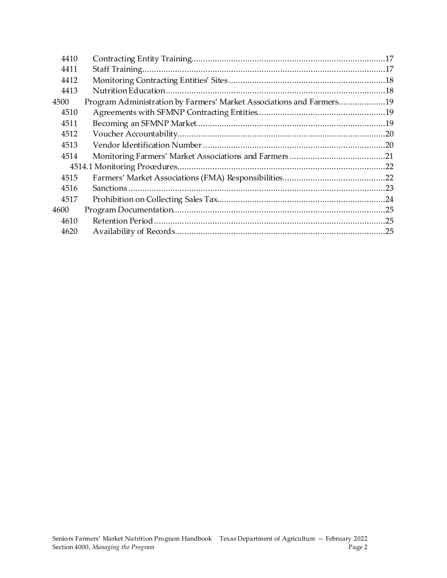| 4410 |                                                                      |  |
|------|----------------------------------------------------------------------|--|
| 4411 |                                                                      |  |
| 4412 |                                                                      |  |
| 4413 |                                                                      |  |
| 4500 | Program Administration by Farmers' Market Associations and Farmers19 |  |
| 4510 |                                                                      |  |
| 4511 |                                                                      |  |
| 4512 |                                                                      |  |
| 4513 |                                                                      |  |
| 4514 |                                                                      |  |
|      |                                                                      |  |
| 4515 |                                                                      |  |
| 4516 |                                                                      |  |
| 4517 |                                                                      |  |
| 4600 |                                                                      |  |
| 4610 |                                                                      |  |
| 4620 |                                                                      |  |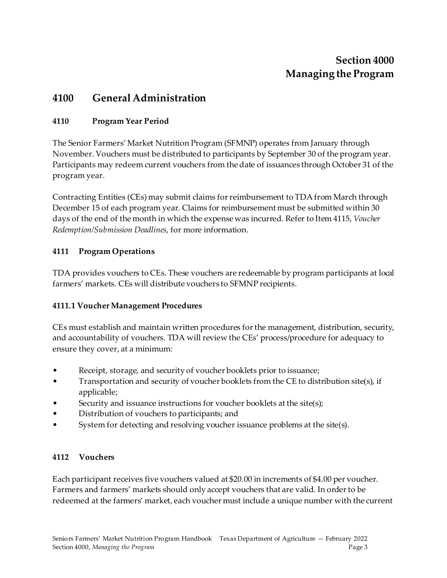## **Section 4000 Managing the Program**

## <span id="page-2-0"></span>**4100 General Administration**

#### <span id="page-2-1"></span>**4110 Program Year Period**

The Senior Farmers' Market Nutrition Program (SFMNP) operates from January through November. Vouchers must be distributed to participants by September 30 of the program year. Participants may redeem current vouchers from the date of issuances through October 31 of the program year.

Contracting Entities (CEs) may submit claims for reimbursement to TDA from March through December 15 of each program year. Claims for reimbursement must be submitted within 30 days of the end of the month in which the expense was incurred. Refer to Item 4115, *Voucher Redemption/Submission Deadlines*, for more information.

#### <span id="page-2-2"></span>**4111 Program Operations**

TDA provides vouchers to CEs. These vouchers are redeemable by program participants at local farmers' markets. CEs will distribute vouchers to SFMNP recipients.

#### <span id="page-2-3"></span>**4111.1 Voucher Management Procedures**

CEs must establish and maintain written procedures for the management, distribution, security, and accountability of vouchers. TDA will review the CEs' process/procedure for adequacy to ensure they cover, at a minimum:

- Receipt, storage, and security of voucher booklets prior to issuance;
- Transportation and security of voucher booklets from the CE to distribution site(s), if applicable;
- Security and issuance instructions for voucher booklets at the site(s);
- Distribution of vouchers to participants; and
- System for detecting and resolving voucher issuance problems at the site(s).

#### <span id="page-2-4"></span>**4112 Vouchers**

Each participant receives five vouchers valued at \$20.00 in increments of \$4.00 per voucher. Farmers and farmers' markets should only accept vouchers that are valid. In order to be redeemed at the farmers' market, each voucher must include a unique number with the current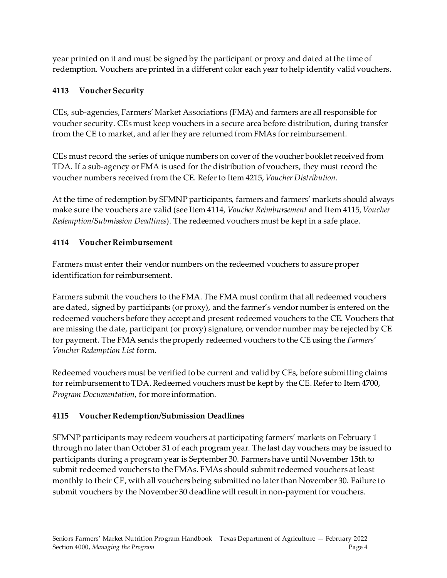year printed on it and must be signed by the participant or proxy and dated at the time of redemption. Vouchers are printed in a different color each year to help identify valid vouchers.

#### <span id="page-3-0"></span>**4113 Voucher Security**

CEs, sub-agencies, Farmers' Market Associations (FMA) and farmers are all responsible for voucher security. CEs must keep vouchers in a secure area before distribution, during transfer from the CE to market, and after they are returned from FMAs for reimbursement.

CEs must record the series of unique numbers on cover of the voucher booklet received from TDA. If a sub-agency or FMA is used for the distribution of vouchers, they must record the voucher numbers received from the CE. Refer to Item 4215, *Voucher Distribution*.

At the time of redemption by SFMNP participants, farmers and farmers' markets should always make sure the vouchers are valid (see Item 4114, *Voucher Reimbursement* and Item 4115, *Voucher Redemption/Submission Deadlines*). The redeemed vouchers must be kept in a safe place.

#### <span id="page-3-1"></span>**4114 Voucher Reimbursement**

Farmers must enter their vendor numbers on the redeemed vouchers to assure proper identification for reimbursement.

Farmers submit the vouchers to the FMA. The FMA must confirm that all redeemed vouchers are dated, signed by participants (or proxy), and the farmer's vendor number is entered on the redeemed vouchers before they accept and present redeemed vouchers to the CE. Vouchers that are missing the date, participant (or proxy) signature, or vendor number may be rejected by CE for payment. The FMA sends the properly redeemed vouchers to the CE using the *Farmers' Voucher Redemption List* form.

Redeemed vouchers must be verified to be current and valid by CEs, before submitting claims for reimbursement to TDA. Redeemed vouchers must be kept by the CE. Refer to Item 4700, *Program Documentation*, for more information.

#### <span id="page-3-2"></span>**4115 Voucher Redemption/Submission Deadlines**

SFMNP participants may redeem vouchers at participating farmers' markets on February 1 through no later than October 31 of each program year. The last day vouchers may be issued to participants during a program year is September 30. Farmers have until November 15th to submit redeemed vouchers to the FMAs. FMAs should submit redeemed vouchers at least monthly to their CE, with all vouchers being submitted no later than November 30. Failure to submit vouchers by the November 30 deadline will result in non-payment for vouchers.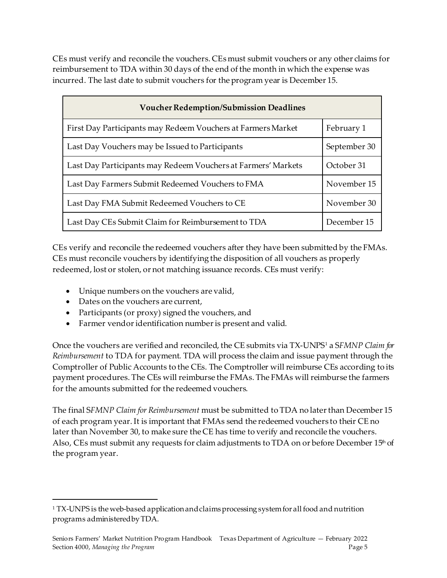CEs must verify and reconcile the vouchers. CEs must submit vouchers or any other claims for reimbursement to TDA within 30 days of the end of the month in which the expense was incurred. The last date to submit vouchers for the program year is December 15.

| <b>Voucher Redemption/Submission Deadlines</b>                |              |  |  |
|---------------------------------------------------------------|--------------|--|--|
| First Day Participants may Redeem Vouchers at Farmers Market  | February 1   |  |  |
| Last Day Vouchers may be Issued to Participants               | September 30 |  |  |
| Last Day Participants may Redeem Vouchers at Farmers' Markets | October 31   |  |  |
| Last Day Farmers Submit Redeemed Vouchers to FMA              | November 15  |  |  |
| Last Day FMA Submit Redeemed Vouchers to CE                   | November 30  |  |  |
| Last Day CEs Submit Claim for Reimbursement to TDA            | December 15  |  |  |

CEs verify and reconcile the redeemed vouchers after they have been submitted by the FMAs. CEs must reconcile vouchers by identifying the disposition of all vouchers as properly redeemed, lost or stolen, or not matching issuance records. CEs must verify:

- Unique numbers on the vouchers are valid,
- Dates on the vouchers are current,
- Participants (or proxy) signed the vouchers, and
- Farmer vendor identification number is present and valid.

Once the vouchers are verified and reconciled, the CE submits via TX-UNPS[1](#page-4-0) a S*FMNP Claim for Reimbursement* to TDA for payment. TDA will process the claim and issue payment through the Comptroller of Public Accounts to the CEs. The Comptroller will reimburse CEs according to its payment procedures. The CEs will reimburse the FMAs. The FMAs will reimburse the farmers for the amounts submitted for the redeemed vouchers.

The final S*FMNP Claim for Reimbursement* must be submitted to TDA no later than December 15 of each program year. It is important that FMAs send the redeemed vouchers to their CE no later than November 30, to make sure the CE has time to verify and reconcile the vouchers. Also, CEs must submit any requests for claim adjustments to TDA on or before December  $15<sup>th</sup>$  of the program year.

<span id="page-4-0"></span><sup>&</sup>lt;sup>1</sup> TX-UNPS is the web-based application and claims processing system for all food and nutrition programs administered by TDA.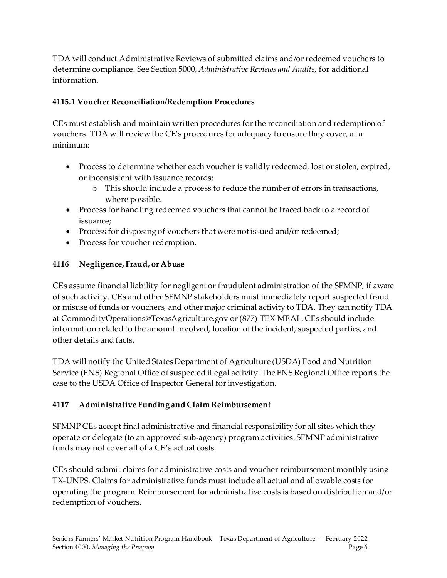TDA will conduct Administrative Reviews of submitted claims and/or redeemed vouchers to determine compliance. See Section 5000, *Administrative Reviews and Audits*, for additional information.

#### <span id="page-5-0"></span>**4115.1 Voucher Reconciliation/Redemption Procedures**

CEs must establish and maintain written procedures for the reconciliation and redemption of vouchers. TDA will review the CE's procedures for adequacy to ensure they cover, at a minimum:

- Process to determine whether each voucher is validly redeemed, lost or stolen, expired, or inconsistent with issuance records;
	- o This should include a process to reduce the number of errors in transactions, where possible.
- Process for handling redeemed vouchers that cannot be traced back to a record of issuance;
- Process for disposing of vouchers that were not issued and/or redeemed;
- Process for voucher redemption.

#### <span id="page-5-1"></span>**4116 Negligence, Fraud, or Abuse**

CEs assume financial liability for negligent or fraudulent administration of the SFMNP, if aware of such activity. CEs and other SFMNP stakeholders must immediately report suspected fraud or misuse of funds or vouchers, and other major criminal activity to TDA. They can notify TDA at CommodityOperations@TexasAgriculture.gov or (877)-TEX-MEAL. CEs should include information related to the amount involved, location of the incident, suspected parties, and other details and facts.

TDA will notify the United States Department of Agriculture (USDA) Food and Nutrition Service (FNS) Regional Office of suspected illegal activity. The FNS Regional Office reports the case to the USDA Office of Inspector General for investigation.

#### <span id="page-5-2"></span>**4117 Administrative Funding and Claim Reimbursement**

SFMNP CEs accept final administrative and financial responsibility for all sites which they operate or delegate (to an approved sub-agency) program activities. SFMNP administrative funds may not cover all of a CE's actual costs.

CEs should submit claims for administrative costs and voucher reimbursement monthly using TX-UNPS. Claims for administrative funds must include all actual and allowable costs for operating the program. Reimbursement for administrative costs is based on distribution and/or redemption of vouchers.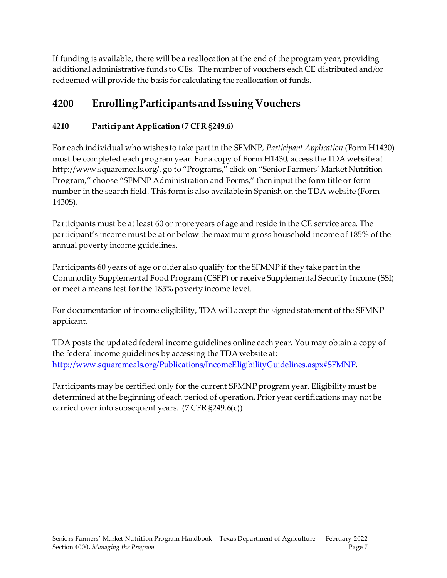If funding is available, there will be a reallocation at the end of the program year, providing additional administrative funds to CEs. The number of vouchers each CE distributed and/or redeemed will provide the basis for calculating the reallocation of funds.

## <span id="page-6-0"></span>**4200 Enrolling Participants and Issuing Vouchers**

#### <span id="page-6-1"></span>**4210 Participant Application (7 CFR §249.6)**

For each individual who wishes to take part in the SFMNP, *Participant Application* (Form H1430) must be completed each program year. For a copy of Form H1430, access the TDA website at http://www.squaremeals.org/, go to "Programs," click on "Senior Farmers' Market Nutrition Program," choose "SFMNP Administration and Forms," then input the form title or form number in the search field. This form is also available in Spanish on the TDA website (Form 1430S).

Participants must be at least 60 or more years of age and reside in the CE service area. The participant's income must be at or below the maximum gross household income of 185% of the annual poverty income guidelines.

Participants 60 years of age or older also qualify for the SFMNP if they take part in the Commodity Supplemental Food Program (CSFP) or receive Supplemental Security Income (SSI) or meet a means test for the 185% poverty income level.

For documentation of income eligibility, TDA will accept the signed statement of the SFMNP applicant.

TDA posts the updated federal income guidelines online each year. You may obtain a copy of the federal income guidelines by accessing the TDA website at: <http://www.squaremeals.org/Publications/IncomeEligibilityGuidelines.aspx#SFMNP>.

Participants may be certified only for the current SFMNP program year. Eligibility must be determined at the beginning of each period of operation. Prior year certifications may not be carried over into subsequent years. (7 CFR §249.6(c))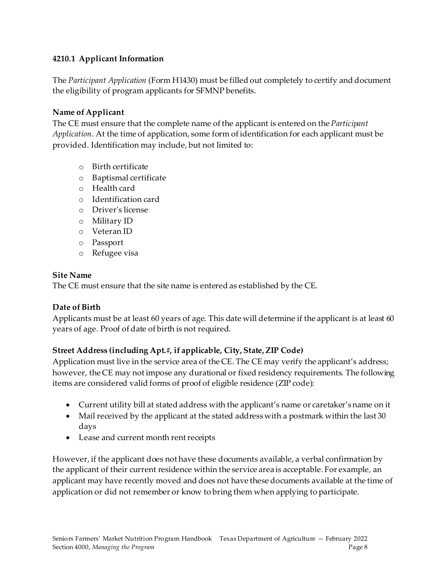#### <span id="page-7-0"></span>**4210.1 Applicant Information**

The *Participant Application* (Form H1430) must be filled out completely to certify and document the eligibility of program applicants for SFMNP benefits.

#### **Name of Applicant**

The CE must ensure that the complete name of the applicant is entered on the *Participant Application*. At the time of application, some form of identification for each applicant must be provided. Identification may include, but not limited to:

- o Birth certificate
- o Baptismal certificate
- o Health card
- o Identification card
- o Driver's license
- o Military ID
- o Veteran ID
- o Passport
- o Refugee visa

#### **Site Name**

The CE must ensure that the site name is entered as established by the CE.

#### **Date of Birth**

Applicants must be at least 60 years of age. This date will determine if the applicant is at least 60 years of age. Proof of date of birth is not required.

#### **Street Address (including Apt.#, if applicable, City, State, ZIP Code)**

Application must live in the service area of the CE. The CE may verify the applicant's address; however, the CE may not impose any durational or fixed residency requirements. The following items are considered valid forms of proof of eligible residence (ZIP code):

- Current utility bill at stated address with the applicant's name or caretaker's name on it
- Mail received by the applicant at the stated address with a postmark within the last 30 days
- Lease and current month rent receipts

However, if the applicant does not have these documents available, a verbal confirmation by the applicant of their current residence within the service area is acceptable. For example, an applicant may have recently moved and does not have these documents available at the time of application or did not remember or know to bring them when applying to participate.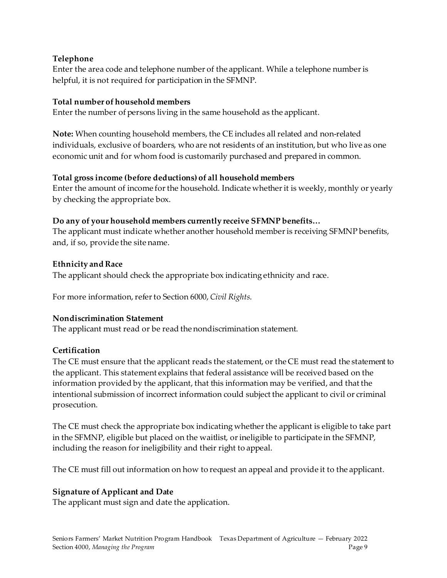#### **Telephone**

Enter the area code and telephone number of the applicant. While a telephone number is helpful, it is not required for participation in the SFMNP.

#### **Total number of household members**

Enter the number of persons living in the same household as the applicant.

**Note:** When counting household members, the CE includes all related and non-related individuals, exclusive of boarders, who are not residents of an institution, but who live as one economic unit and for whom food is customarily purchased and prepared in common.

#### **Total gross income (before deductions) of all household members**

Enter the amount of income for the household. Indicate whether it is weekly, monthly or yearly by checking the appropriate box.

#### **Do any of your household members currently receive SFMNP benefits…**

The applicant must indicate whether another household member is receiving SFMNP benefits, and, if so, provide the site name.

#### **Ethnicity and Race**

The applicant should check the appropriate box indicating ethnicity and race.

For more information, refer to Section 6000, *Civil Rights*.

#### **Nondiscrimination Statement**

The applicant must read or be read the nondiscrimination statement.

#### **Certification**

The CE must ensure that the applicant reads the statement, or the CE must read the statement to the applicant. This statement explains that federal assistance will be received based on the information provided by the applicant, that this information may be verified, and that the intentional submission of incorrect information could subject the applicant to civil or criminal prosecution.

The CE must check the appropriate box indicating whether the applicant is eligible to take part in the SFMNP, eligible but placed on the waitlist, or ineligible to participate in the SFMNP, including the reason for ineligibility and their right to appeal.

The CE must fill out information on how to request an appeal and provide it to the applicant.

#### **Signature of Applicant and Date**

The applicant must sign and date the application.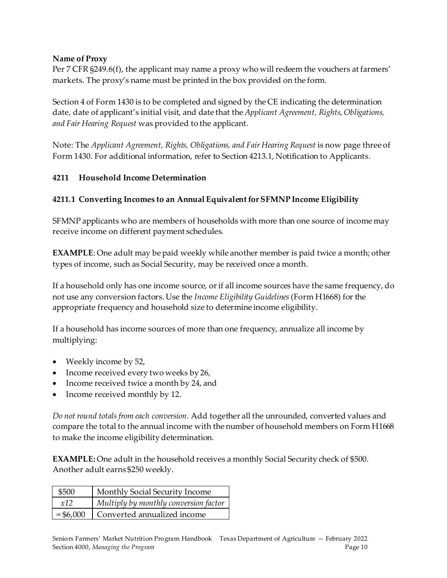#### **Name of Proxy**

Per 7 CFR §249.6(f), the applicant may name a proxy who will redeem the vouchers at farmers' markets. The proxy's name must be printed in the box provided on the form.

Section 4 of Form 1430 is to be completed and signed by the CE indicating the determination date, date of applicant's initial visit, and date that the *Applicant Agreement, Rights, Obligations, and Fair Hearing Request* was provided to the applicant.

Note: The *Applicant Agreement, Rights, Obligations, and Fair Hearing Request* is now page three of Form 1430. For additional information, refer to Section 4213.1, Notification to Applicants.

#### <span id="page-9-0"></span>**4211 Household Income Determination**

#### <span id="page-9-1"></span>**4211.1 Converting Incomes to an Annual Equivalent for SFMNP Income Eligibility**

SFMNP applicants who are members of households with more than one source of income may receive income on different payment schedules.

**EXAMPLE**: One adult may be paid weekly while another member is paid twice a month; other types of income, such as Social Security, may be received once a month.

If a household only has one income source, or if all income sources have the same frequency, do not use any conversion factors. Use the *Income Eligibility Guidelines*(Form H1668) for the appropriate frequency and household size to determine income eligibility.

If a household has income sources of more than one frequency, annualize all income by multiplying:

- Weekly income by 52,
- Income received every two weeks by 26,
- Income received twice a month by 24, and
- Income received monthly by 12.

*Do not round totals from each conversion.* Add together all the unrounded, converted values and compare the total to the annual income with the number of household members on Form H1668 to make the income eligibility determination.

**EXAMPLE:** One adult in the household receives a monthly Social Security check of \$500. Another adult earns \$250 weekly.

| \$500       | Monthly Social Security Income        |
|-------------|---------------------------------------|
| x12         | Multiply by monthly conversion factor |
| $=$ \$6,000 | Converted annualized income           |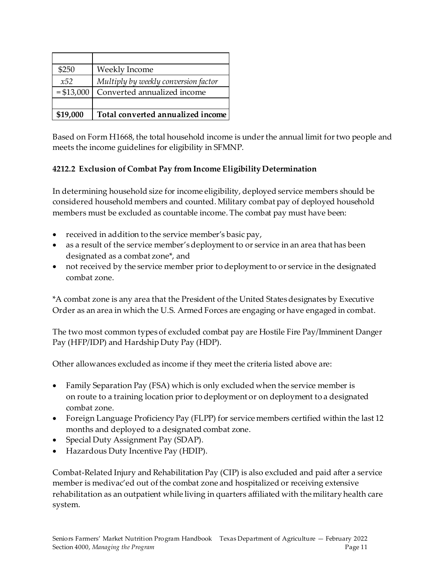| \$250       | Weekly Income                        |
|-------------|--------------------------------------|
| x52         | Multiply by weekly conversion factor |
| $= $13,000$ | Converted annualized income          |
|             |                                      |
| \$19,000    | Total converted annualized income    |

Based on Form H1668, the total household income is under the annual limit for two people and meets the income guidelines for eligibility in SFMNP.

#### <span id="page-10-0"></span>**4212.2 Exclusion of Combat Pay from Income Eligibility Determination**

In determining household size for income eligibility, deployed service members should be considered household members and counted. Military combat pay of deployed household members must be excluded as countable income. The combat pay must have been:

- received in addition to the service member's basic pay,
- as a result of the service member's deployment to or service in an area that has been designated as a combat zone\*, and
- not received by the service member prior to deployment to or service in the designated combat zone.

\*A combat zone is any area that the President of the United States designates by Executive Order as an area in which the U.S. Armed Forces are engaging or have engaged in combat.

The two most common types of excluded combat pay are Hostile Fire Pay/Imminent Danger Pay (HFP/IDP) and Hardship Duty Pay (HDP).

Other allowances excluded as income if they meet the criteria listed above are:

- Family Separation Pay (FSA) which is only excluded when the service member is on route to a training location prior to deployment or on deployment to a designated combat zone.
- Foreign Language Proficiency Pay (FLPP) for service members certified within the last 12 months and deployed to a designated combat zone.
- Special Duty Assignment Pay (SDAP).
- Hazardous Duty Incentive Pay (HDIP).

Combat-Related Injury and Rehabilitation Pay (CIP) is also excluded and paid after a service member is medivac'ed out of the combat zone and hospitalized or receiving extensive rehabilitation as an outpatient while living in quarters affiliated with the military health care system.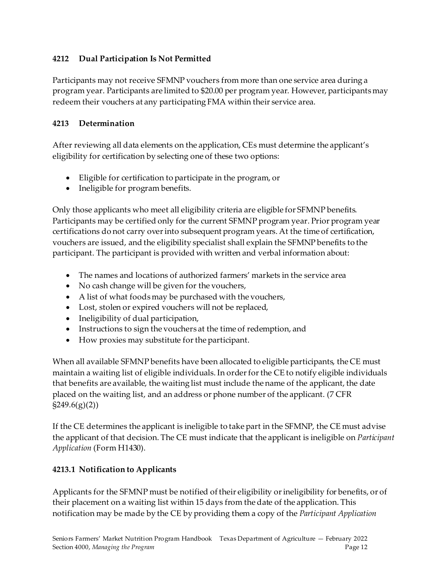#### <span id="page-11-0"></span>**4212 Dual Participation Is Not Permitted**

Participants may not receive SFMNP vouchers from more than one service area during a program year. Participants are limited to \$20.00 per program year. However, participants may redeem their vouchers at any participating FMA within their service area.

#### <span id="page-11-1"></span>**4213 Determination**

After reviewing all data elements on the application, CEs must determine the applicant's eligibility for certification by selecting one of these two options:

- Eligible for certification to participate in the program, or
- Ineligible for program benefits.

Only those applicants who meet all eligibility criteria are eligible for SFMNP benefits. Participants may be certified only for the current SFMNP program year. Prior program year certifications do not carry over into subsequent program years. At the time of certification, vouchers are issued, and the eligibility specialist shall explain the SFMNP benefits to the participant. The participant is provided with written and verbal information about:

- The names and locations of authorized farmers' markets in the service area
- No cash change will be given for the vouchers,
- A list of what foods may be purchased with the vouchers,
- Lost, stolen or expired vouchers will not be replaced,
- Ineligibility of dual participation,
- Instructions to sign the vouchers at the time of redemption, and
- How proxies may substitute for the participant.

When all available SFMNP benefits have been allocated to eligible participants, the CE must maintain a waiting list of eligible individuals. In order for the CE to notify eligible individuals that benefits are available, the waiting list must include the name of the applicant, the date placed on the waiting list, and an address or phone number of the applicant. (7 CFR  $\S249.6(g)(2)$ 

If the CE determines the applicant is ineligible to take part in the SFMNP, the CE must advise the applicant of that decision. The CE must indicate that the applicant is ineligible on *Participant Application* (Form H1430).

#### <span id="page-11-2"></span>**4213.1 Notification to Applicants**

Applicants for the SFMNP must be notified of their eligibility or ineligibility for benefits, or of their placement on a waiting list within 15 days from the date of the application. This notification may be made by the CE by providing them a copy of the *Participant Application*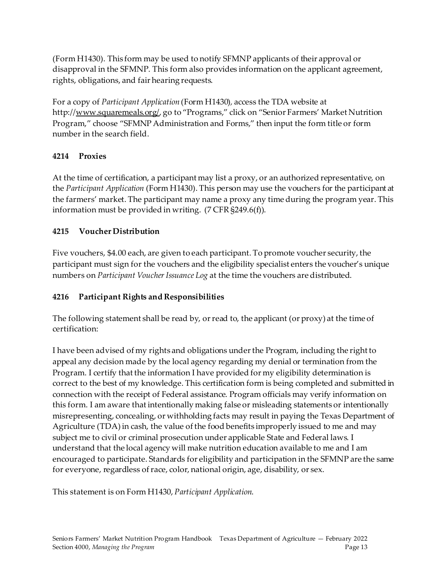(Form H1430). This form may be used to notify SFMNP applicants of their approval or disapproval in the SFMNP. This form also provides information on the applicant agreement, rights, obligations, and fair hearing requests.

For a copy of *Participant Application* (Form H1430)*,* access the TDA website at http://www.squaremeals.org/, go to "Programs," click on "Senior Farmers' Market Nutrition Program," choose "SFMNP Administration and Forms," then input the form title or form number in the search field.

#### <span id="page-12-0"></span>**4214 Proxies**

At the time of certification, a participant may list a proxy, or an authorized representative, on the *Participant Application* (Form H1430). This person may use the vouchers for the participant at the farmers' market. The participant may name a proxy any time during the program year. This information must be provided in writing. (7 CFR §249.6(f)).

#### <span id="page-12-1"></span>**4215 Voucher Distribution**

Five vouchers, \$4.00 each, are given to each participant. To promote voucher security, the participant must sign for the vouchers and the eligibility specialist enters the voucher's unique numbers on *Participant Voucher Issuance Log* at the time the vouchers are distributed.

#### <span id="page-12-2"></span>**4216 Participant Rights and Responsibilities**

The following statement shall be read by, or read to, the applicant (or proxy) at the time of certification:

I have been advised of my rights and obligations under the Program, including the right to appeal any decision made by the local agency regarding my denial or termination from the Program. I certify that the information I have provided for my eligibility determination is correct to the best of my knowledge. This certification form is being completed and submitted in connection with the receipt of Federal assistance. Program officials may verify information on this form. I am aware that intentionally making false or misleading statements or intentionally misrepresenting, concealing, or withholding facts may result in paying the Texas Department of Agriculture (TDA) in cash, the value of the food benefits improperly issued to me and may subject me to civil or criminal prosecution under applicable State and Federal laws. I understand that the local agency will make nutrition education available to me and I am encouraged to participate. Standards for eligibility and participation in the SFMNP are the same for everyone, regardless of race, color, national origin, age, disability, or sex.

This statement is on Form H1430, *Participant Application*.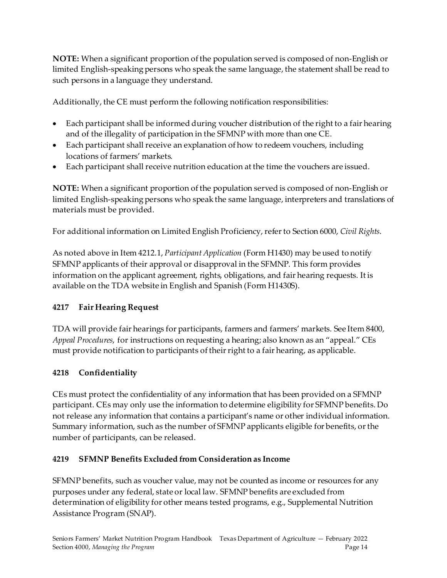**NOTE:** When a significant proportion of the population served is composed of non-English or limited English-speaking persons who speak the same language, the statement shall be read to such persons in a language they understand.

Additionally, the CE must perform the following notification responsibilities:

- Each participant shall be informed during voucher distribution of the right to a fair hearing and of the illegality of participation in the SFMNP with more than one CE.
- Each participant shall receive an explanation of how to redeem vouchers, including locations of farmers' markets.
- Each participant shall receive nutrition education at the time the vouchers are issued.

**NOTE:** When a significant proportion of the population served is composed of non-English or limited English-speaking persons who speak the same language, interpreters and translations of materials must be provided.

For additional information on Limited English Proficiency, refer to Section 6000, *Civil Rights*.

As noted above in Item 4212.1, *Participant Application* (Form H1430) may be used to notify SFMNP applicants of their approval or disapproval in the SFMNP. This form provides information on the applicant agreement, rights, obligations, and fair hearing requests. It is available on the TDA website in English and Spanish (Form H1430S).

#### <span id="page-13-0"></span>**4217 Fair Hearing Request**

TDA will provide fair hearings for participants, farmers and farmers' markets. See Item 8400, *Appeal Procedures*, for instructions on requesting a hearing; also known as an "appeal." CEs must provide notification to participants of their right to a fair hearing, as applicable.

#### <span id="page-13-1"></span>**4218 Confidentiality**

CEs must protect the confidentiality of any information that has been provided on a SFMNP participant. CEs may only use the information to determine eligibility for SFMNP benefits. Do not release any information that contains a participant's name or other individual information. Summary information, such as the number of SFMNP applicants eligible for benefits, or the number of participants, can be released.

#### <span id="page-13-2"></span>**4219 SFMNP Benefits Excluded from Consideration as Income**

SFMNP benefits, such as voucher value, may not be counted as income or resources for any purposes under any federal, state or local law. SFMNP benefits are excluded from determination of eligibility for other means tested programs, e.g., Supplemental Nutrition Assistance Program (SNAP).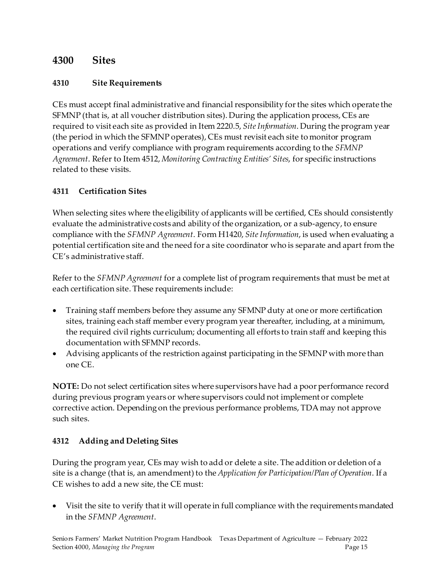### <span id="page-14-0"></span>**4300 Sites**

#### <span id="page-14-1"></span>**4310 Site Requirements**

CEs must accept final administrative and financial responsibility for the sites which operate the SFMNP (that is, at all voucher distribution sites). During the application process, CEs are required to visit each site as provided in Item 2220.5, *Site Information*. During the program year (the period in which the SFMNP operates), CEs must revisit each site to monitor program operations and verify compliance with program requirements according to the *SFMNP Agreement*. Refer to Item 4512, *Monitoring Contracting Entities' Sites*, for specific instructions related to these visits.

#### <span id="page-14-2"></span>**4311 Certification Sites**

When selecting sites where the eligibility of applicants will be certified, CEs should consistently evaluate the administrative costs and ability of the organization, or a sub-agency, to ensure compliance with the *SFMNP Agreement*. Form H1420, *Site Information*, is used when evaluating a potential certification site and the need for a site coordinator who is separate and apart from the CE's administrative staff.

Refer to the *SFMNP Agreement* for a complete list of program requirements that must be met at each certification site. These requirements include:

- Training staff members before they assume any SFMNP duty at one or more certification sites, training each staff member every program year thereafter, including, at a minimum, the required civil rights curriculum; documenting all efforts to train staff and keeping this documentation with SFMNP records.
- Advising applicants of the restriction against participating in the SFMNP with more than one CE.

**NOTE:** Do not select certification sites where supervisors have had a poor performance record during previous program years or where supervisors could not implement or complete corrective action. Depending on the previous performance problems, TDA may not approve such sites.

#### <span id="page-14-3"></span>**4312 Adding and Deleting Sites**

During the program year, CEs may wish to add or delete a site. The addition or deletion of a site is a change (that is, an amendment) to the *Application for Participation/Plan of Operation*. If a CE wishes to add a new site, the CE must:

• Visit the site to verify that it will operate in full compliance with the requirements mandated in the *SFMNP Agreement*.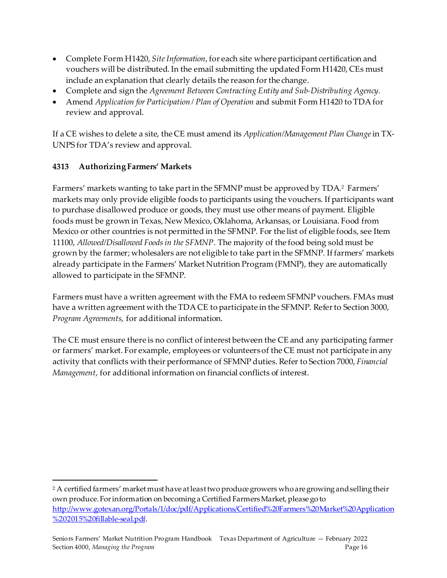- Complete Form H1420, *Site Information*, for each site where participant certification and vouchers will be distributed. In the email submitting the updated Form H1420, CEs must include an explanation that clearly details the reason for the change.
- Complete and sign the *Agreement Between Contracting Entity and Sub-Distributing Agency.*
- Amend *Application for Participation / Plan of Operation* and submit Form H1420 to TDA for review and approval.

If a CE wishes to delete a site, the CE must amend its *Application/Management Plan Change*in TX-UNPS for TDA's review and approval.

#### <span id="page-15-0"></span>**4313 Authorizing Farmers' Markets**

Farmers' markets wanting to take part in the SFMNP must be approved by TDA.<sup>[2](#page-15-1)</sup> Farmers' markets may only provide eligible foods to participants using the vouchers. If participants want to purchase disallowed produce or goods, they must use other means of payment. Eligible foods must be grown in Texas, New Mexico, Oklahoma, Arkansas, or Louisiana. Food from Mexico or other countries is not permitted in the SFMNP. For the list of eligible foods, see Item 11100, *Allowed/Disallowed Foods in the SFMNP*. The majority of the food being sold must be grown by the farmer; wholesalers are not eligible to take part in the SFMNP. If farmers' markets already participate in the Farmers' Market Nutrition Program (FMNP), they are automatically allowed to participate in the SFMNP.

Farmers must have a written agreement with the FMAto redeem SFMNP vouchers. FMAs must have a written agreement with the TDA CE to participate in the SFMNP. Refer to Section 3000, *Program Agreements*, for additional information.

The CE must ensure there is no conflict of interest between the CE and any participating farmer or farmers' market. For example, employees or volunteers of the CE must not participate in any activity that conflicts with their performance of SFMNP duties. Refer to Section 7000, *Financial Management*, for additional information on financial conflicts of interest.

<span id="page-15-1"></span><sup>&</sup>lt;sup>2</sup> A certified farmers' market must have at least two produce growers who are growing and selling their own produce.For information on becoming a Certified Farmers Market, please go to [http://www.gotexan.org/Portals/1/doc/pdf/Applications/Certified%20Farmers%20Market%20Application](http://www.gotexan.org/Portals/1/doc/pdf/Applications/Certified%20Farmers%20Market%20Application%202015%20fillable-seal.pdf) [%202015%20fillable-seal.pdf.](http://www.gotexan.org/Portals/1/doc/pdf/Applications/Certified%20Farmers%20Market%20Application%202015%20fillable-seal.pdf)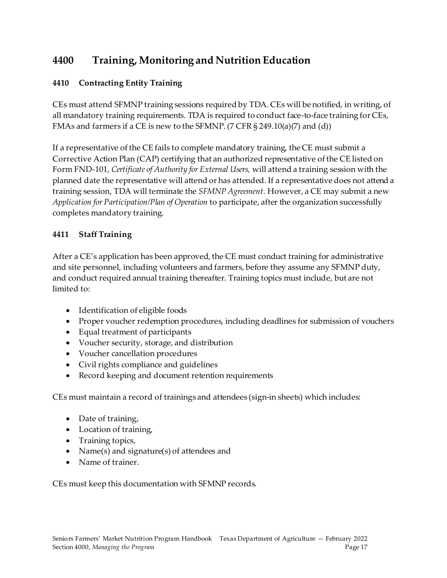## <span id="page-16-0"></span>**4400 Training, Monitoring and Nutrition Education**

#### <span id="page-16-1"></span>**4410 Contracting Entity Training**

CEs must attend SFMNP training sessions required by TDA. CEs will be notified, in writing, of all mandatory training requirements. TDA is required to conduct face-to-face training for CEs, FMAs and farmers if a CE is new to the SFMNP. (7 CFR § 249.10(a)(7) and (d))

If a representative of the CE fails to complete mandatory training, the CE must submit a Corrective Action Plan (CAP) certifying that an authorized representative of the CE listed on Form FND-101, *Certificate of Authority for External Users,* will attend a training session with the planned date the representative will attend or has attended. If a representative does not attend a training session, TDA will terminate the *SFMNP Agreement*. However, a CE may submit a new *Application for Participation/Plan of Operation* to participate, after the organization successfully completes mandatory training.

#### <span id="page-16-2"></span>**4411 Staff Training**

After a CE's application has been approved, the CE must conduct training for administrative and site personnel, including volunteers and farmers, before they assume any SFMNP duty, and conduct required annual training thereafter. Training topics must include, but are not limited to:

- Identification of eligible foods
- Proper voucher redemption procedures, including deadlines for submission of vouchers
- Equal treatment of participants
- Voucher security, storage, and distribution
- Voucher cancellation procedures
- Civil rights compliance and guidelines
- Record keeping and document retention requirements

CEs must maintain a record of trainings and attendees (sign-in sheets) which includes:

- Date of training,
- Location of training,
- Training topics,
- Name(s) and signature(s) of attendees and
- Name of trainer.

CEs must keep this documentation with SFMNP records.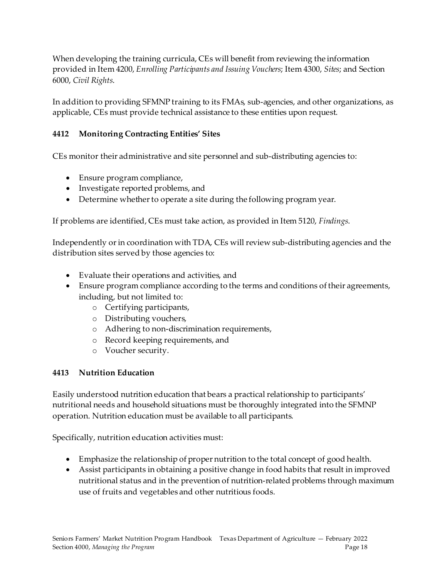When developing the training curricula, CEs will benefit from reviewing the information provided in Item 4200, *Enrolling Participants and Issuing Vouchers*; Item 4300, *Sites*; and Section 6000, *Civil Rights*.

In addition to providing SFMNP training to its FMAs, sub-agencies, and other organizations, as applicable, CEs must provide technical assistance to these entities upon request.

#### <span id="page-17-0"></span>**4412 Monitoring Contracting Entities' Sites**

CEs monitor their administrative and site personnel and sub-distributing agencies to:

- Ensure program compliance,
- Investigate reported problems, and
- Determine whether to operate a site during the following program year.

If problems are identified, CEs must take action, as provided in Item 5120, *Findings*.

Independently or in coordination with TDA, CEs will review sub-distributing agencies and the distribution sites served by those agencies to:

- Evaluate their operations and activities, and
- Ensure program compliance according to the terms and conditions of their agreements, including, but not limited to:
	- o Certifying participants,
	- o Distributing vouchers,
	- o Adhering to non-discrimination requirements,
	- o Record keeping requirements, and
	- o Voucher security.

#### <span id="page-17-1"></span>**4413 Nutrition Education**

Easily understood nutrition education that bears a practical relationship to participants' nutritional needs and household situations must be thoroughly integrated into the SFMNP operation. Nutrition education must be available to all participants.

Specifically, nutrition education activities must:

- Emphasize the relationship of proper nutrition to the total concept of good health.
- Assist participants in obtaining a positive change in food habits that result in improved nutritional status and in the prevention of nutrition-related problems through maximum use of fruits and vegetables and other nutritious foods.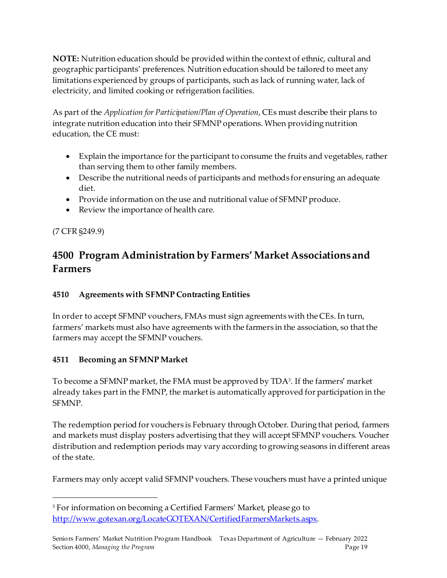**NOTE:** Nutrition education should be provided within the context of ethnic, cultural and geographic participants' preferences. Nutrition education should be tailored to meet any limitations experienced by groups of participants, such as lack of running water, lack of electricity, and limited cooking or refrigeration facilities.

As part of the *Application for Participation/Plan of Operation*, CEs must describe their plans to integrate nutrition education into their SFMNP operations. When providing nutrition education, the CE must:

- Explain the importance for the participant to consume the fruits and vegetables, rather than serving them to other family members.
- Describe the nutritional needs of participants and methods for ensuring an adequate diet.
- Provide information on the use and nutritional value of SFMNP produce.
- Review the importance of health care.

#### (7 CFR §249.9)

## <span id="page-18-0"></span>**4500 Program Administration by Farmers' Market Associations and Farmers**

#### <span id="page-18-1"></span>**4510 Agreements with SFMNP Contracting Entities**

In order to accept SFMNP vouchers, FMAs must sign agreements with the CEs. In turn, farmers' markets must also have agreements with the farmers in the association, so that the farmers may accept the SFMNP vouchers.

#### <span id="page-18-2"></span>**4511 Becoming an SFMNP Market**

To become a SFMNP market, the FMA must be approved by TD[A3](#page-18-3) . If the farmers' market already takes part in the FMNP, the market is automatically approved for participation in the **SFMNP** 

The redemption period for vouchers is February through October. During that period, farmers and markets must display posters advertising that they will accept SFMNP vouchers. Voucher distribution and redemption periods may vary according to growing seasons in different areas of the state.

Farmers may only accept valid SFMNP vouchers. These vouchers must have a printed unique

<span id="page-18-3"></span><sup>3</sup> For information on becoming a Certified Farmers' Market, please go to [http://www.gotexan.org/LocateGOTEXAN/CertifiedFarmersMarkets.aspx.](http://www.gotexan.org/LocateGOTEXAN/CertifiedFarmersMarkets.aspx)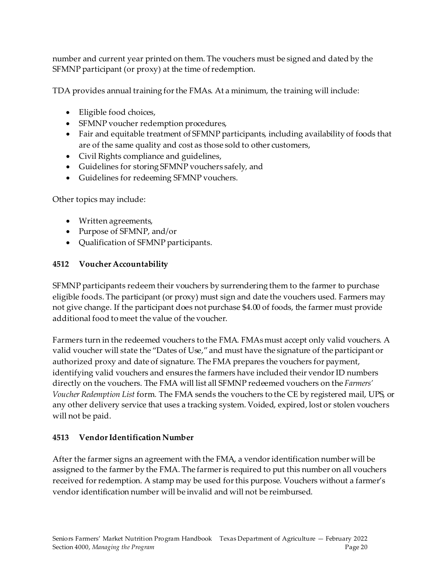number and current year printed on them. The vouchers must be signed and dated by the SFMNP participant (or proxy) at the time of redemption.

TDA provides annual training for the FMAs. At a minimum, the training will include:

- Eligible food choices,
- SFMNP voucher redemption procedures,
- Fair and equitable treatment of SFMNP participants, including availability of foods that are of the same quality and cost as those sold to other customers,
- Civil Rights compliance and guidelines,
- Guidelines for storing SFMNP vouchers safely, and
- Guidelines for redeeming SFMNP vouchers.

Other topics may include:

- Written agreements,
- Purpose of SFMNP, and/or
- Qualification of SFMNP participants.

#### <span id="page-19-0"></span>**4512 Voucher Accountability**

SFMNP participants redeem their vouchers by surrendering them to the farmer to purchase eligible foods. The participant (or proxy) must sign and date the vouchers used. Farmers may not give change. If the participant does not purchase \$4.00 of foods, the farmer must provide additional food to meet the value of the voucher.

Farmers turn in the redeemed vouchers to the FMA. FMAs must accept only valid vouchers. A valid voucher will state the "Dates of Use," and must have the signature of the participant or authorized proxy and date of signature. The FMA prepares the vouchers for payment, identifying valid vouchers and ensures the farmers have included their vendor ID numbers directly on the vouchers. The FMA will list all SFMNP redeemed vouchers on the *Farmers' Voucher Redemption List* form*.* The FMA sends the vouchers to the CE by registered mail, UPS, or any other delivery service that uses a tracking system. Voided, expired, lost or stolen vouchers will not be paid.

#### <span id="page-19-1"></span>**4513 Vendor Identification Number**

After the farmer signs an agreement with the FMA, a vendor identification number will be assigned to the farmer by the FMA. The farmer is required to put this number on all vouchers received for redemption. A stamp may be used for this purpose. Vouchers without a farmer's vendor identification number will be invalid and will not be reimbursed.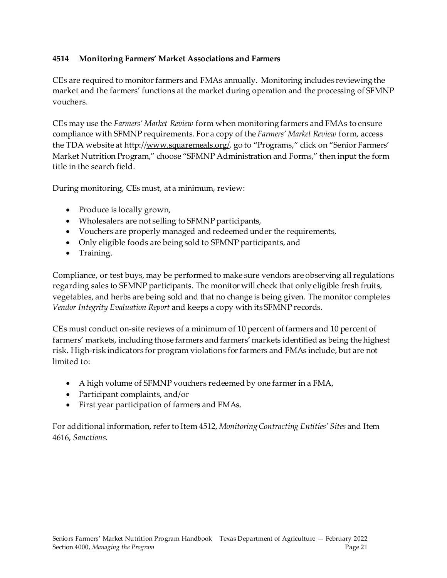#### <span id="page-20-0"></span>**4514 Monitoring Farmers' Market Associations and Farmers**

CEs are required to monitor farmers and FMAs annually. Monitoring includes reviewing the market and the farmers' functions at the market during operation and the processing of SFMNP vouchers.

CEs may use the *Farmers' Market Review* form when monitoring farmers and FMAs to ensure compliance with SFMNP requirements. For a copy of the *Farmers' Market Review* form, access the TDA website at http://www.squaremeals.org/, go to "Programs," click on "Senior Farmers' Market Nutrition Program," choose "SFMNP Administration and Forms," then input the form title in the search field.

During monitoring, CEs must, at a minimum, review:

- Produce is locally grown,
- Wholesalers are not selling to SFMNP participants,
- Vouchers are properly managed and redeemed under the requirements,
- Only eligible foods are being sold to SFMNP participants, and
- Training.

Compliance, or test buys, may be performed to make sure vendors are observing all regulations regarding sales to SFMNP participants. The monitor will check that only eligible fresh fruits, vegetables, and herbs are being sold and that no change is being given. The monitor completes *Vendor Integrity Evaluation Report* and keeps a copy with its SFMNP records.

CEs must conduct on-site reviews of a minimum of 10 percent of farmers and 10 percent of farmers' markets, including those farmers and farmers' markets identified as being the highest risk. High-risk indicators for program violations for farmers and FMAs include, but are not limited to:

- A high volume of SFMNP vouchers redeemed by one farmer in a FMA,
- Participant complaints, and/or
- First year participation of farmers and FMAs.

For additional information, refer to Item 4512, *Monitoring Contracting Entities' Sites* and Item 4616, *Sanctions*.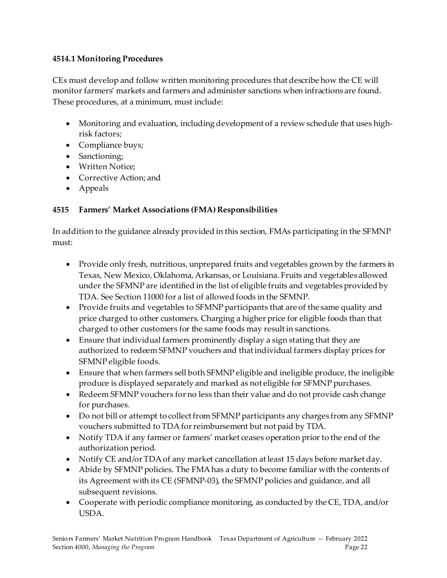#### <span id="page-21-0"></span>**4514.1 Monitoring Procedures**

CEs must develop and follow written monitoring procedures that describe how the CE will monitor farmers' markets and farmers and administer sanctions when infractions are found. These procedures, at a minimum, must include:

- Monitoring and evaluation, including development of a review schedule that uses highrisk factors;
- Compliance buys;
- Sanctioning;
- Written Notice;
- Corrective Action; and
- Appeals

#### <span id="page-21-1"></span>**4515 Farmers' Market Associations (FMA) Responsibilities**

In addition to the guidance already provided in this section, FMAs participating in the SFMNP must:

- Provide only fresh, nutritious, unprepared fruits and vegetables grown by the farmers in Texas, New Mexico, Oklahoma, Arkansas, or Louisiana. Fruits and vegetables allowed under the SFMNP are identified in the list of eligible fruits and vegetables provided by TDA. See Section 11000 for a list of allowed foods in the SFMNP.
- Provide fruits and vegetables to SFMNP participants that are of the same quality and price charged to other customers. Charging a higher price for eligible foods than that charged to other customers for the same foods may result in sanctions.
- Ensure that individual farmers prominently display a sign stating that they are authorized to redeem SFMNP vouchers and that individual farmers display prices for SFMNP eligible foods.
- Ensure that when farmers sell both SFMNP eligible and ineligible produce, the ineligible produce is displayed separately and marked as not eligible for SFMNP purchases.
- Redeem SFMNP vouchers for no less than their value and do not provide cash change for purchases.
- Do not bill or attempt to collect from SFMNP participants any charges from any SFMNP vouchers submitted to TDA for reimbursement but not paid by TDA.
- Notify TDA if any farmer or farmers' market ceases operation prior to the end of the authorization period.
- Notify CE and/or TDA of any market cancellation at least 15 days before market day.
- Abide by SFMNP policies. The FMA has a duty to become familiar with the contents of its Agreement with its CE (SFMNP-03), the SFMNP policies and guidance, and all subsequent revisions.
- Cooperate with periodic compliance monitoring, as conducted by the CE, TDA, and/or USDA.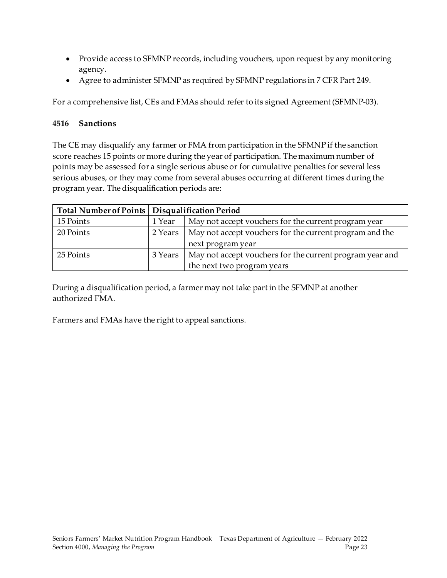- Provide access to SFMNP records, including vouchers, upon request by any monitoring agency.
- Agree to administer SFMNP as required by SFMNP regulations in 7 CFR Part 249.

For a comprehensive list, CEs and FMAs should refer to its signed Agreement (SFMNP-03).

#### <span id="page-22-0"></span>**4516 Sanctions**

The CE may disqualify any farmer or FMA from participation in the SFMNP if the sanction score reaches 15 points or more during the year of participation. The maximum number of points may be assessed for a single serious abuse or for cumulative penalties for several less serious abuses, or they may come from several abuses occurring at different times during the program year. The disqualification periods are:

| Total Number of Points   Disqualification Period |         |                                                                              |
|--------------------------------------------------|---------|------------------------------------------------------------------------------|
| 15 Points                                        | 1 Year  | May not accept vouchers for the current program year                         |
| 20 Points                                        | 2 Years | May not accept vouchers for the current program and the<br>next program year |
| 25 Points                                        | 3 Years | May not accept vouchers for the current program year and                     |
|                                                  |         | the next two program years                                                   |

During a disqualification period, a farmer may not take part in the SFMNP at another authorized FMA.

Farmers and FMAs have the right to appeal sanctions.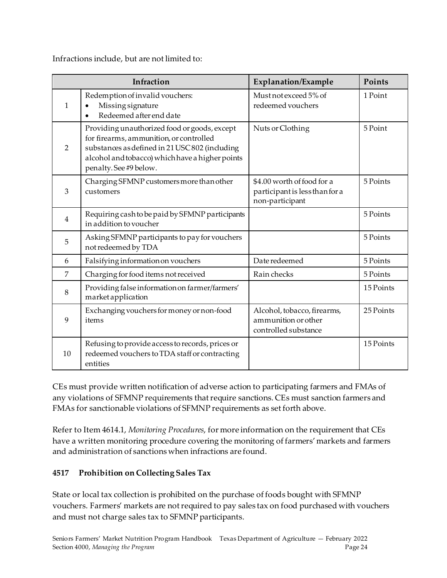Infractions include, but are not limited to:

|                | Infraction                                                                                                                                                                                                             | Explanation/Example                                                             | Points    |
|----------------|------------------------------------------------------------------------------------------------------------------------------------------------------------------------------------------------------------------------|---------------------------------------------------------------------------------|-----------|
| 1              | Redemption of invalid vouchers:<br>Missing signature<br>Redeemed after end date<br>$\bullet$                                                                                                                           | Must not exceed 5% of<br>redeemed vouchers                                      | 1 Point   |
| $\overline{2}$ | Providing unauthorized food or goods, except<br>for firearms, ammunition, or controlled<br>substances as defined in 21 USC 802 (including<br>alcohol and tobacco) which have a higher points<br>penalty. See #9 below. | Nuts or Clothing                                                                | 5 Point   |
| 3              | Charging SFMNP customers more than other<br>customers                                                                                                                                                                  | \$4.00 worth of food for a<br>participant is less than for a<br>non-participant | 5 Points  |
| $\overline{4}$ | Requiring cash to be paid by SFMNP participants<br>in addition to voucher                                                                                                                                              |                                                                                 | 5 Points  |
| 5              | Asking SFMNP participants to pay for vouchers<br>not redeemed by TDA                                                                                                                                                   |                                                                                 | 5 Points  |
| 6              | Falsifying information on vouchers                                                                                                                                                                                     | Date redeemed                                                                   | 5 Points  |
| $\overline{7}$ | Charging for food items not received                                                                                                                                                                                   | Rain checks                                                                     | 5 Points  |
| 8              | Providing false information on farmer/farmers'<br>market application                                                                                                                                                   |                                                                                 | 15 Points |
| 9              | Exchanging vouchers for money or non-food<br>items                                                                                                                                                                     | Alcohol, tobacco, firearms,<br>ammunition or other<br>controlled substance      | 25 Points |
| 10             | Refusing to provide access to records, prices or<br>redeemed vouchers to TDA staff or contracting<br>entities                                                                                                          |                                                                                 | 15 Points |

CEs must provide written notification of adverse action to participating farmers and FMAs of any violations of SFMNP requirements that require sanctions. CEs must sanction farmers and FMAs for sanctionable violations of SFMNP requirements as set forth above.

Refer to Item 4614.1, *Monitoring Procedures*, for more information on the requirement that CEs have a written monitoring procedure covering the monitoring of farmers' markets and farmers and administration of sanctions when infractions are found.

#### <span id="page-23-0"></span>**4517 Prohibition on Collecting Sales Tax**

State or local tax collection is prohibited on the purchase of foods bought with SFMNP vouchers. Farmers' markets are not required to pay sales tax on food purchased with vouchers and must not charge sales tax to SFMNP participants.